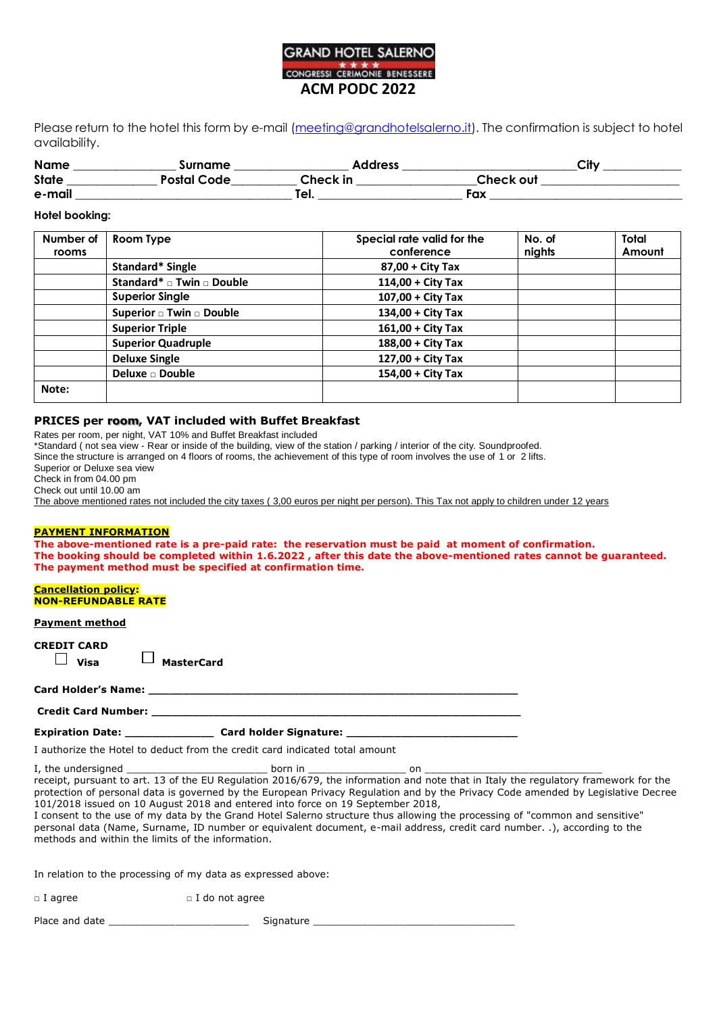# **GRAND HOTEL SALERNO** CONGRESSI CERIMONIE BENESSERE **ACM PODC 2022**

Please return to the hotel this form by e-mail [\(meeting@grandhotelsalerno.it\)](mailto:meeting@grandhotelsalerno.it). The confirmation is subject to hotel availability. 

| <b>Name</b>  | Surname     | <b>Address</b> | City      |
|--------------|-------------|----------------|-----------|
| <b>State</b> | Postal Code | Check in       | Check out |
| e-mail       |             | Tel.           | Fax       |

### **Hotel booking:**

| Number of | Room Type                 | Special rate valid for the | No. of | Total  |
|-----------|---------------------------|----------------------------|--------|--------|
| rooms     |                           | conference                 | nights | Amount |
|           | Standard* Single          | 87,00 + City Tax           |        |        |
|           | Standard* □ Twin □ Double | 114,00 + City Tax          |        |        |
|           | <b>Superior Single</b>    | $107,00 + City Tax$        |        |        |
|           | Superior a Twin a Double  | 134,00 + City Tax          |        |        |
|           | <b>Superior Triple</b>    | $161,00 + City Tax$        |        |        |
|           | <b>Superior Quadruple</b> | 188,00 + City Tax          |        |        |
|           | <b>Deluxe Single</b>      | 127,00 + City Tax          |        |        |
|           | Deluxe n Double           | $154,00 + City Tax$        |        |        |
| Note:     |                           |                            |        |        |

### **PRICES per room, VAT included with Buffet Breakfast**

Rates per room, per night, VAT 10% and Buffet Breakfast included

\*Standard ( not sea view - Rear or inside of the building, view of the station / parking / interior of the city. Soundproofed.

Since the structure is arranged on 4 floors of rooms, the achievement of this type of room involves the use of 1 or 2 lifts.

Superior or Deluxe sea view

Check in from 04.00 pm

Check out until 10.00 am

The above mentioned rates not included the city taxes ( 3,00 euros per night per person). This Tax not apply to children under 12 years

#### **PAYMENT INFORMATION**

**The above-mentioned rate is a pre-paid rate: the reservation must be paid at moment of confirmation. The booking should be completed within 1.6.2022 , after this date the above-mentioned rates cannot be guaranteed. The payment method must be specified at confirmation time.**

#### **Cancellation policy: NON-REFUNDABLE RATE**

#### **Payment method**

### **CREDIT CARD**

**Visa MasterCard** 

#### **Card Holder's Name: \_\_\_\_\_\_\_\_\_\_\_\_\_\_\_\_\_\_\_\_\_\_\_\_\_\_\_\_\_\_\_\_\_\_\_\_\_\_\_\_\_\_\_\_\_\_\_\_\_\_\_\_\_\_**

#### **Credit Card Number: \_\_\_\_\_\_\_\_\_\_\_\_\_\_\_\_\_\_\_\_\_\_\_\_\_\_\_\_\_\_\_\_\_\_\_\_\_\_\_\_\_\_\_\_\_\_\_\_\_\_\_\_\_\_**

### **Expiration Date: \_\_\_\_\_\_\_\_\_\_\_\_\_ Card holder Signature: \_\_\_\_\_\_\_\_\_\_\_\_\_\_\_\_\_\_\_\_\_\_\_\_\_**

I authorize the Hotel to deduct from the credit card indicated total amount

I, the undersigned \_\_\_\_\_\_\_\_\_\_\_\_\_\_\_\_\_\_\_\_\_\_\_ born in \_\_\_\_\_\_\_\_\_\_\_\_\_\_\_\_ on \_\_\_\_\_\_\_\_\_\_\_\_\_\_\_\_\_\_\_\_\_\_\_\_\_\_\_\_\_

receipt, pursuant to art. 13 of the EU Regulation 2016/679, the information and note that in Italy the regulatory framework for the protection of personal data is governed by the European Privacy Regulation and by the Privacy Code amended by Legislative Decree 101/2018 issued on 10 August 2018 and entered into force on 19 September 2018,

I consent to the use of my data by the Grand Hotel Salerno structure thus allowing the processing of "common and sensitive" personal data (Name, Surname, ID number or equivalent document, e-mail address, credit card number. .), according to the methods and within the limits of the information.

In relation to the processing of my data as expressed above:

| $\Box$ I agree | $\Box$ I do not agree |
|----------------|-----------------------|
|----------------|-----------------------|

Place and date \_\_\_\_\_\_\_\_\_\_\_\_\_\_\_\_\_\_\_\_\_\_\_ Signature \_\_\_\_\_\_\_\_\_\_\_\_\_\_\_\_\_\_\_\_\_\_\_\_\_\_\_\_\_\_\_\_\_